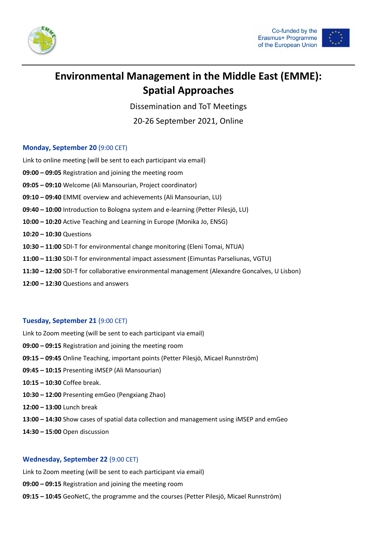



# **Environmental Management in the Middle East (EMME): Spatial Approaches**

Dissemination and ToT Meetings

20-26 September 2021, Online

### **Monday, September 20** (9:00 CET)

Link to online meeting (will be sent to each participant via email) **09:00 – 09:05** Registration and joining the meeting room **09:05 – 09:10** Welcome (Ali Mansourian, Project coordinator) **09:10 – 09:40** EMME overview and achievements (Ali Mansourian, LU) **09:40 – 10:00** Introduction to Bologna system and e-learning (Petter Pilesjö, LU) **10:00 – 10:20** Active Teaching and Learning in Europe (Monika Jo, ENSG) **10:20 – 10:30** Questions **10:30 – 11:00** SDI-T for environmental change monitoring (Eleni Tomai, NTUA) **11:00 – 11:30** SDI-T for environmental impact assessment (Eimuntas Parseliunas, VGTU) **11:30 – 12:00** SDI-T for collaborative environmental management (Alexandre Goncalves, U Lisbon) **12:00 – 12:30** Questions and answers

# **Tuesday, September 21** (9:00 CET)

Link to Zoom meeting (will be sent to each participant via email) **09:00 – 09:15** Registration and joining the meeting room **09:15 – 09:45** Online Teaching, important points (Petter Pilesjö, Micael Runnström) **09:45 – 10:15** Presenting iMSEP (Ali Mansourian) **10:15 – 10:30** Coffee break. **10:30 – 12:00** Presenting emGeo (Pengxiang Zhao) **12:00 – 13:00** Lunch break **13:00 – 14:30** Show cases of spatial data collection and management using iMSEP and emGeo **14:30 – 15:00** Open discussion

# **Wednesday, September 22** (9:00 CET)

Link to Zoom meeting (will be sent to each participant via email)

**09:00 – 09:15** Registration and joining the meeting room

**09:15 – 10:45** GeoNetC, the programme and the courses (Petter Pilesjö, Micael Runnström)